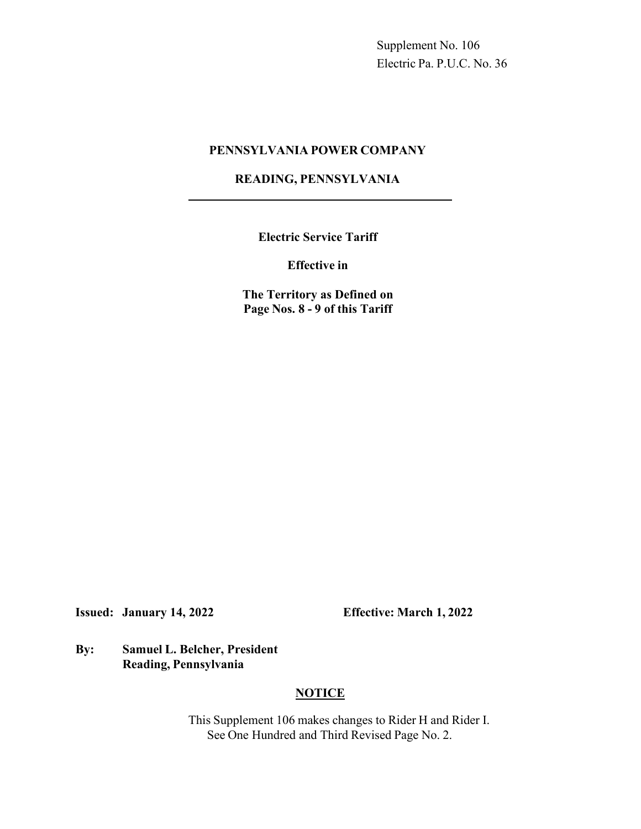Supplement No. 106 Electric Pa. P.U.C. No. 36

### **PENNSYLVANIA POWER COMPANY**

## **READING, PENNSYLVANIA**

**Electric Service Tariff**

**Effective in**

**The Territory as Defined on Page Nos. 8 - 9 of this Tariff**

**Issued: January 14, 2022 Effective: March 1, 2022**

**By: Samuel L. Belcher, President Reading, Pennsylvania**

# **NOTICE**

This Supplement 106 makes changes to Rider H and Rider I. See One Hundred and Third Revised Page No. 2.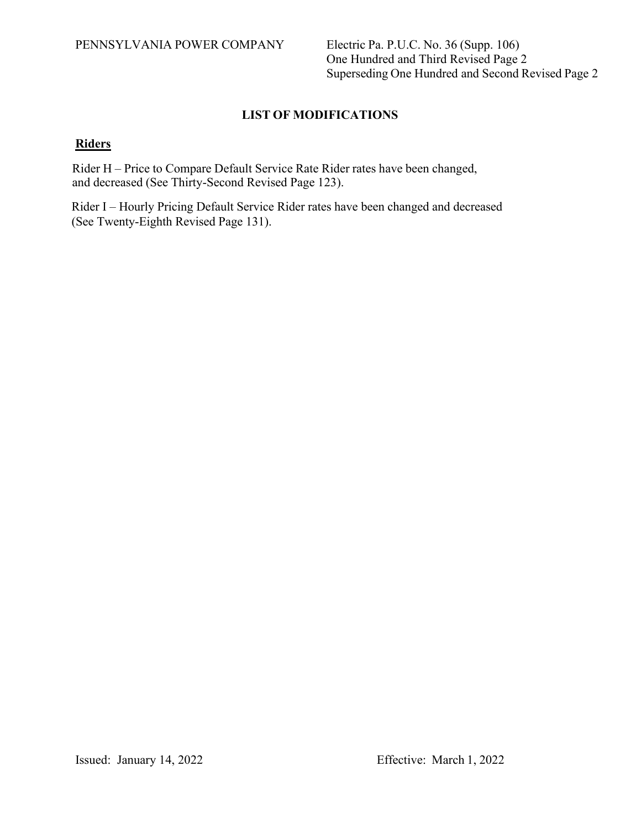One Hundred and Third Revised Page 2 Superseding One Hundred and Second Revised Page 2

# **LIST OF MODIFICATIONS**

# **Riders**

Rider H – Price to Compare Default Service Rate Rider rates have been changed, and decreased (See Thirty-Second Revised Page 123).

Rider I – Hourly Pricing Default Service Rider rates have been changed and decreased (See Twenty-Eighth Revised Page 131).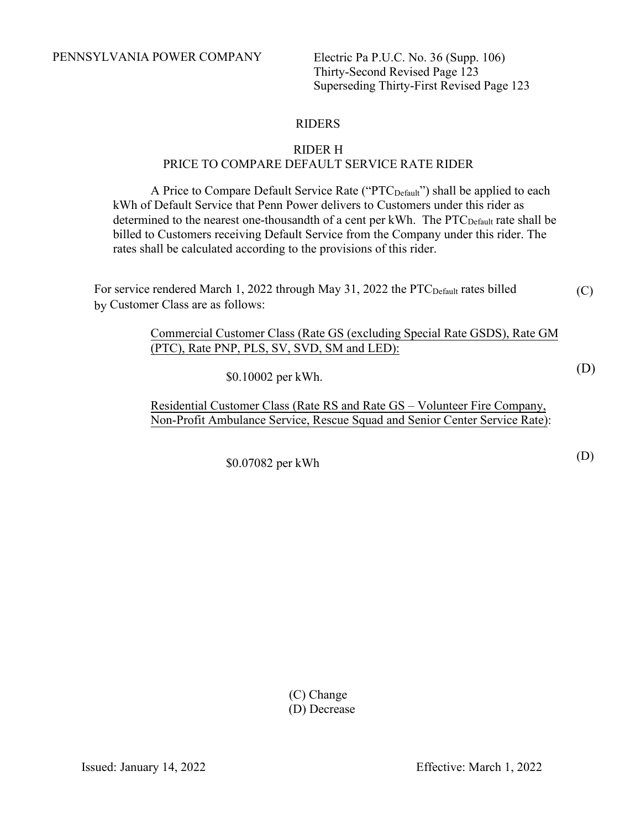PENNSYLVANIA POWER COMPANY Electric Pa P.U.C. No. 36 (Supp. 106)

Thirty-Second Revised Page 123 Superseding Thirty-First Revised Page 123

# RIDERS

#### RIDER H PRICE TO COMPARE DEFAULT SERVICE RATE RIDER

A Price to Compare Default Service Rate ("PTC<sub>Default</sub>") shall be applied to each kWh of Default Service that Penn Power delivers to Customers under this rider as determined to the nearest one-thousandth of a cent per kWh. The  $\text{PTC}_{\text{Default}}$  rate shall be billed to Customers receiving Default Service from the Company under this rider. The rates shall be calculated according to the provisions of this rider.

For service rendered March 1, 2022 through May 31, 2022 the PTC<sub>Default</sub> rates billed by Customer Class are as follows: (C)

> Commercial Customer Class (Rate GS (excluding Special Rate GSDS), Rate GM (PTC), Rate PNP, PLS, SV, SVD, SM and LED):

> > \$0.10002 per kWh.

Residential Customer Class (Rate RS and Rate GS – Volunteer Fire Company, Non-Profit Ambulance Service, Rescue Squad and Senior Center Service Rate):

\$0.07082 per kWh

(C) Change (D) Decrease (D)

(D)